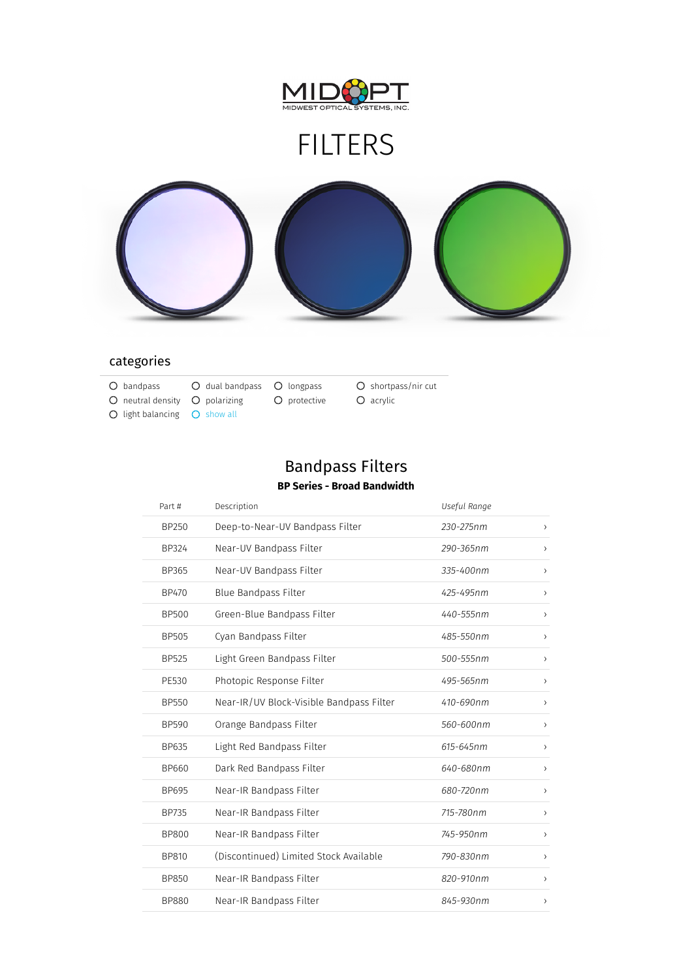

# FILTERS



### categories

- O bandpass C dual bandpass O longpass C shortpass/nir cut
- 
- $\bigcirc$  light balancing  $\bigcirc$  show all

 $O$  neutral density  $O$  polarizing  $O$  protective  $O$  acrylic

### Bandpass Filters **BP Series - Broad Bandwidth**

| Part #       | Description                              | Useful Range  |                              |
|--------------|------------------------------------------|---------------|------------------------------|
| BP250        | Deep-to-Near-UV Bandpass Filter          | 230-275nm     | $\lambda$                    |
| BP324        | Near-UV Bandpass Filter                  | 290-365nm     | $\rightarrow$                |
| BP365        | Near-UV Bandpass Filter                  | $335 - 400nm$ | $\lambda$                    |
| BP470        | Blue Bandpass Filter                     | 425-495nm     | $\left( \right)$             |
| <b>BP500</b> | Green-Blue Bandpass Filter               | 440-555nm     | $\left( \right)$             |
| BP505        | Cyan Bandpass Filter                     | 485-550nm     | $\left( \right)$             |
| <b>BP525</b> | Light Green Bandpass Filter              | 500-555nm     | $\left( \right)$             |
| PE530        | Photopic Response Filter                 | 495-565nm     | $\rightarrow$                |
| <b>BP550</b> | Near-IR/UV Block-Visible Bandpass Filter | 410-690nm     | $\left\langle \right\rangle$ |
| BP590        | Orange Bandpass Filter                   | 560-600nm     | $\left( \right)$             |
| BP635        | Light Red Bandpass Filter                | 615-645nm     | $\left( \right)$             |
| BP660        | Dark Red Bandpass Filter                 | 640-680nm     | $\left( \right)$             |
| BP695        | Near-IR Bandpass Filter                  | 680-720nm     | $\left( \right)$             |
| BP735        | Near-IR Bandpass Filter                  | 715-780nm     | $\rightarrow$                |
| <b>BP800</b> | Near-IR Bandpass Filter                  | 745-950nm     | $\rightarrow$                |
| BP810        | (Discontinued) Limited Stock Available   | 790-830nm     | $\,$                         |
| BP850        | Near-IR Bandpass Filter                  | 820-910nm     | $\rightarrow$                |
| <b>BP880</b> | Near-IR Bandpass Filter                  | 845-930nm     | $\rightarrow$                |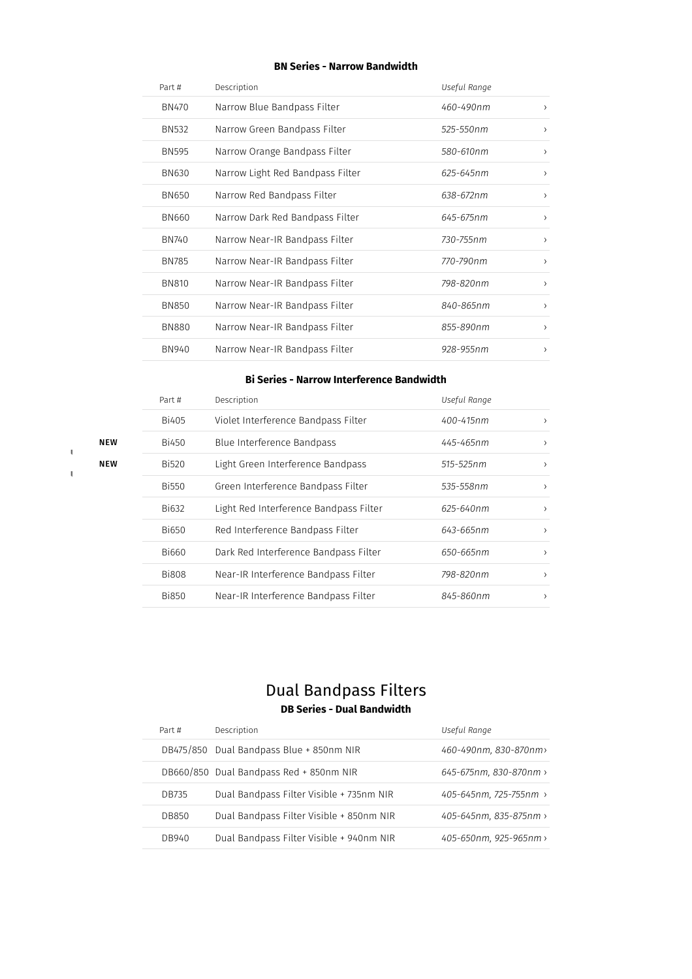#### **BN Series - Narrow Bandwidth**

| Part #       | Description                      | Useful Range |               |
|--------------|----------------------------------|--------------|---------------|
| <b>BN470</b> | Narrow Blue Bandpass Filter      | 460-490nm    | $\rightarrow$ |
| BN532        | Narrow Green Bandpass Filter     | 525-550nm    | $\rightarrow$ |
| <b>BN595</b> | Narrow Orange Bandpass Filter    | 580-610nm    | $\rightarrow$ |
| <b>BN630</b> | Narrow Light Red Bandpass Filter | 625-645nm    | $\rightarrow$ |
| <b>BN650</b> | Narrow Red Bandpass Filter       | 638-672nm    | $\rightarrow$ |
| <b>BN660</b> | Narrow Dark Red Bandpass Filter  | 645-675nm    | $\rightarrow$ |
| BN740        | Narrow Near-IR Bandpass Filter   | 730-755nm    | $\rightarrow$ |
| <b>BN785</b> | Narrow Near-IR Bandpass Filter   | 770-790nm    | $\rightarrow$ |
| <b>BN810</b> | Narrow Near-IR Bandpass Filter   | 798-820nm    | $\rightarrow$ |
| <b>BN850</b> | Narrow Near-IR Bandpass Filter   | 840-865nm    | $\rightarrow$ |
| <b>BN880</b> | Narrow Near-IR Bandpass Filter   | 855-890nm    | $\rightarrow$ |
| BN940        | Narrow Near-IR Bandpass Filter   | 928-955nm    | ᠈             |

#### **Bi Series - Narrow Interference Bandwidth**

| Part #       | Description                            | Useful Range |               |
|--------------|----------------------------------------|--------------|---------------|
| <b>Bi405</b> | Violet Interference Bandpass Filter    | 400-415nm    | $\rightarrow$ |
| Bi450        | Blue Interference Bandpass             | 445-465nm    | $\rightarrow$ |
| <b>Bi520</b> | Light Green Interference Bandpass      | 515-525nm    | $\rightarrow$ |
| Bi550        | Green Interference Bandpass Filter     | 535-558nm    | $\rightarrow$ |
| Bi632        | Light Red Interference Bandpass Filter | 625-640nm    | $\rightarrow$ |
| Bi650        | Red Interference Bandpass Filter       | 643-665nm    | $\rightarrow$ |
| Bi660        | Dark Red Interference Bandpass Filter  | 650-665nm    | $\rightarrow$ |
| <b>Bi808</b> | Near-IR Interference Bandpass Filter   | 798-820nm    | $\rightarrow$ |
| <b>Bi850</b> | Near-IR Interference Bandpass Filter   | 845-860nm    | $\rightarrow$ |

### NEW

Ï

NEW

### Dual Bandpass Filters **DB Series - Dual Bandwidth**

| Part # | Description                              | Useful Range           |
|--------|------------------------------------------|------------------------|
|        | DB475/850 Dual Bandpass Blue + 850nm NIR | 460-490nm, 830-870nm>  |
|        | DB660/850 Dual Bandpass Red + 850nm NIR  | 645-675nm, 830-870nm > |
| DB735  | Dual Bandpass Filter Visible + 735nm NIR | 405-645nm, 725-755nm > |
| DB850  | Dual Bandpass Filter Visible + 850nm NIR | 405-645nm, 835-875nm > |
| DB940  | Dual Bandpass Filter Visible + 940nm NIR | 405-650nm, 925-965nm > |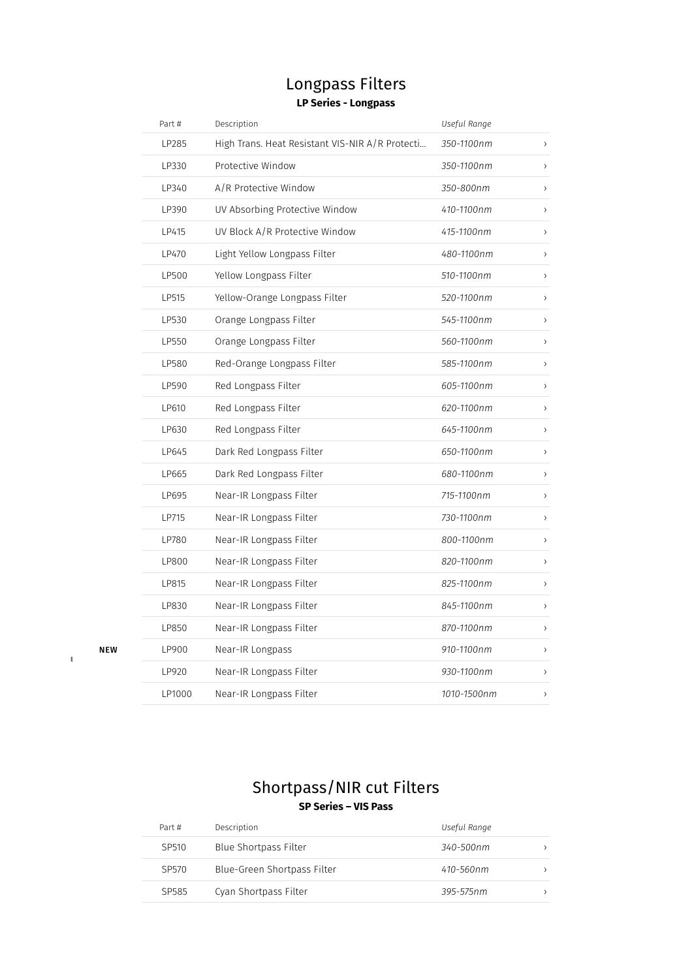### Longpass Filters **LP Series - Longpass**

| Part # | Description                                     | Useful Range |                              |
|--------|-------------------------------------------------|--------------|------------------------------|
| LP285  | High Trans. Heat Resistant VIS-NIR A/R Protecti | 350-1100nm   | $\rightarrow$                |
| LP330  | Protective Window                               | 350-1100nm   | $\left\langle \right\rangle$ |
| LP340  | A/R Protective Window                           | 350-800nm    | $\left( \right)$             |
| LP390  | UV Absorbing Protective Window                  | 410-1100nm   | $\,$                         |
| LP415  | UV Block A/R Protective Window                  | 415-1100nm   | $\left( \right)$             |
| LP470  | Light Yellow Longpass Filter                    | 480-1100nm   | $\,$                         |
| LP500  | Yellow Longpass Filter                          | 510-1100nm   | $\left( \right)$             |
| LP515  | Yellow-Orange Longpass Filter                   | 520-1100nm   | $\,$                         |
| LP530  | Orange Longpass Filter                          | 545-1100nm   | $\,$                         |
| LP550  | Orange Longpass Filter                          | 560-1100nm   | $\left( \right)$             |
| LP580  | Red-Orange Longpass Filter                      | 585-1100nm   | $\,$                         |
| LP590  | Red Longpass Filter                             | 605-1100nm   | $\left( \right)$             |
| LP610  | Red Longpass Filter                             | 620-1100nm   | $\,$                         |
| LP630  | Red Longpass Filter                             | 645-1100nm   | $\,$                         |
| LP645  | Dark Red Longpass Filter                        | 650-1100nm   | $\,$                         |
| LP665  | Dark Red Longpass Filter                        | 680-1100nm   | $\,$                         |
| LP695  | Near-IR Longpass Filter                         | 715-1100nm   | $\rightarrow$                |
| LP715  | Near-IR Longpass Filter                         | 730-1100nm   | $\left\langle \right\rangle$ |
| LP780  | Near-IR Longpass Filter                         | 800-1100nm   | $\,$                         |
| LP800  | Near-IR Longpass Filter                         | 820-1100nm   | $\left( \right)$             |
| LP815  | Near-IR Longpass Filter                         | 825-1100nm   | $\left\langle \right\rangle$ |
| LP830  | Near-IR Longpass Filter                         | 845-1100nm   | $\left( \right)$             |
| LP850  | Near-IR Longpass Filter                         | 870-1100nm   | $\left\langle \right\rangle$ |
| LP900  | Near-IR Longpass                                | 910-1100nm   | $\,$                         |
| LP920  | Near-IR Longpass Filter                         | 930-1100nm   | $\left( \right)$             |
| LP1000 | Near-IR Longpass Filter                         | 1010-1500nm  | $\left( \right)$             |

NEW

### Shortpass/NIR cut Filters **SP Series – VIS Pass**

| Part #            | Description                  | Useful Range |
|-------------------|------------------------------|--------------|
| SP <sub>510</sub> | <b>Blue Shortpass Filter</b> | .340-500nm   |
| SP570             | Blue-Green Shortpass Filter  | 410-560nm    |
| SP585             | Cyan Shortpass Filter        | 395-575nm    |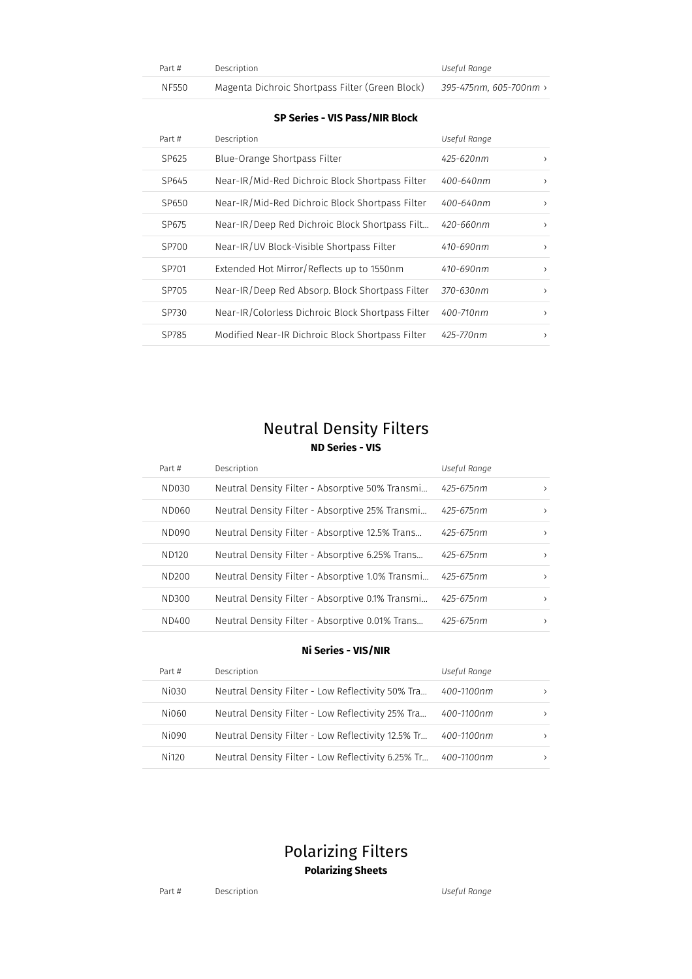| Part # | Description                                     | Useful Range           |
|--------|-------------------------------------------------|------------------------|
| NF550  | Magenta Dichroic Shortpass Filter (Green Block) | 395-475nm. 605-700nm › |

#### **SP Series - VIS Pass/NIR Block**

| Part # | Description                                       | Useful Range |               |
|--------|---------------------------------------------------|--------------|---------------|
| SP625  | Blue-Orange Shortpass Filter                      | 425-620nm    | ᠈             |
| SP645  | Near-IR/Mid-Red Dichroic Block Shortpass Filter   | 400-640nm    | ᠈             |
| SP650  | Near-IR/Mid-Red Dichroic Block Shortpass Filter   | 400-640nm    | $\rightarrow$ |
| SP675  | Near-IR/Deep Red Dichroic Block Shortpass Filt    | 420-660nm    | $\rightarrow$ |
| SP700  | Near-IR/UV Block-Visible Shortpass Filter         | 410-690nm    | $\rightarrow$ |
| SP701  | Extended Hot Mirror/Reflects up to 1550nm         | 410-690nm    | $\rightarrow$ |
| SP705  | Near-IR/Deep Red Absorp. Block Shortpass Filter   | 370-630nm    | $\rightarrow$ |
| SP730  | Near-IR/Colorless Dichroic Block Shortpass Filter | 400-710nm    | $\rightarrow$ |
| SP785  | Modified Near-IR Dichroic Block Shortpass Filter  | 425-770nm    | $\rightarrow$ |

### Neutral Density Filters **ND Series - VIS**

| Part # | Description                                      | Useful Range |               |
|--------|--------------------------------------------------|--------------|---------------|
| ND030  | Neutral Density Filter - Absorptive 50% Transmi  | 425-675nm    | $\rightarrow$ |
| ND060  | Neutral Density Filter - Absorptive 25% Transmi  | 425-675nm    | $\rightarrow$ |
| ND090  | Neutral Density Filter - Absorptive 12.5% Trans  | 425-675nm    | $\rightarrow$ |
| ND120  | Neutral Density Filter - Absorptive 6.25% Trans  | 425-675nm    | $\rightarrow$ |
| ND200  | Neutral Density Filter - Absorptive 1.0% Transmi | 425-675nm    | $\rightarrow$ |
| ND300  | Neutral Density Filter - Absorptive 0.1% Transmi | 425-675nm    | $\rightarrow$ |
| ND400  | Neutral Density Filter - Absorptive 0.01% Trans  | 425-675nm    | $\rightarrow$ |

#### **Ni Series - VIS/NIR**

| Part # | Description                                        | Useful Range |               |
|--------|----------------------------------------------------|--------------|---------------|
| Ni030  | Neutral Density Filter - Low Reflectivity 50% Tra  | 400-1100nm   | $\rightarrow$ |
| Ni060  | Neutral Density Filter - Low Reflectivity 25% Tra  | 400-1100nm   | $\rightarrow$ |
| Ni090  | Neutral Density Filter - Low Reflectivity 12.5% Tr | 400-1100nm   | $\rightarrow$ |
| Ni120  | Neutral Density Filter - Low Reflectivity 6.25% Tr | 400-1100nm   | $\rightarrow$ |

### Polarizing Filters **Polarizing Sheets**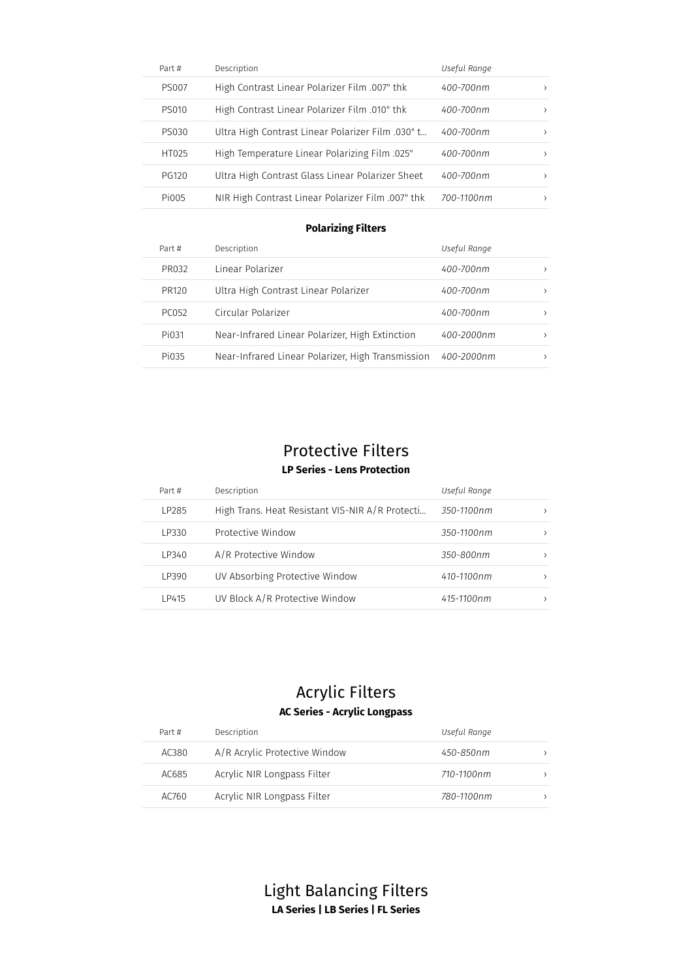| Part #       | Description                                       | Useful Range |  |
|--------------|---------------------------------------------------|--------------|--|
| PS007        | High Contrast Linear Polarizer Film .007" thk     | 400-700nm    |  |
| <b>PS010</b> | High Contrast Linear Polarizer Film .010" thk     | 400-700nm    |  |
| PS030        | Ultra High Contrast Linear Polarizer Film .030" t | 400-700nm    |  |
| HT025        | High Temperature Linear Polarizing Film .025"     | 400-700nm    |  |
| PG120        | Ultra High Contrast Glass Linear Polarizer Sheet  | 400-700nm    |  |
| Pi005        | NIR High Contrast Linear Polarizer Film .007" thk | 700-1100nm   |  |

#### **Polarizing Filters**

| Part # | Description                                       | Useful Range |  |
|--------|---------------------------------------------------|--------------|--|
| PR032  | Linear Polarizer                                  | 400-700nm    |  |
| PR120  | Ultra High Contrast Linear Polarizer              | 400-700nm    |  |
| PC052  | Circular Polarizer                                | 400-700nm    |  |
| Pi031  | Near-Infrared Linear Polarizer, High Extinction   | 400-2000nm   |  |
| Pi035  | Near-Infrared Linear Polarizer, High Transmission | 400-2000nm   |  |
|        |                                                   |              |  |

## Protective Filters

### **LP Series - Lens Protection**

| Part # | Description                                     | Useful Range |               |
|--------|-------------------------------------------------|--------------|---------------|
| LP285  | High Trans. Heat Resistant VIS-NIR A/R Protecti | 350-1100nm   |               |
| LP330  | Protective Window                               | 350-1100nm   | >             |
| LP340  | A/R Protective Window                           | 350-800nm    | $\rightarrow$ |
| LP390  | UV Absorbing Protective Window                  | 410-1100nm   | >             |
| LP415  | UV Block A/R Protective Window                  | 415-1100nm   |               |

### Acrylic Filters **AC Series - Acrylic Longpass**

| Part # | Description                   | Useful Range |
|--------|-------------------------------|--------------|
| AC380  | A/R Acrylic Protective Window | 450-850nm    |
| AC685  | Acrylic NIR Longpass Filter   | 710-1100nm   |
| AC760  | Acrylic NIR Longpass Filter   | 780-1100nm   |

Light Balancing Filters **LA Series | LB Series | FL Series**